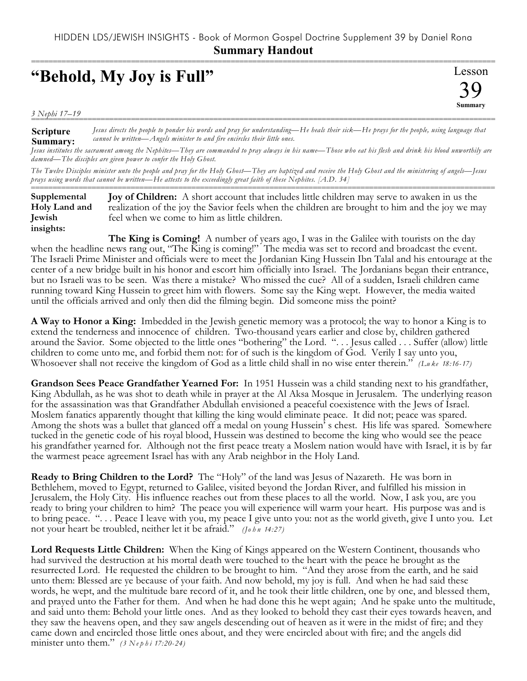## **"Behold, My Joy is Full"**

Lesson 39 **Summary** ===========================================================================================================

*3 Nephi 17–19* ===========================================================================================================

**Scripture Summary:** *Jesus directs the people to ponder his words and pray for understanding—He heals their sick—He prays for the people, using language that cannot be written—Angels minister to and fire encircles their little ones.*

*Jesus institutes the sacrament among the Nephites—They are commanded to pray always in his name—Those who eat his flesh and drink his blood unworthily are damned—The disciples are given power to confer the Holy Ghost.*

*The Twelve Disciples minister unto the people and pray for the Holy Ghost—They are baptized and receive the Holy Ghost and the ministering of angels—Jesus prays using words that cannot be written—He attests to the exceedingly great faith of these Nephites. [A.D. 34]*

=========================================================================================================== **Joy of Children:** A short account that includes little children may serve to awaken in us the realization of the joy the Savior feels when the children are brought to him and the joy we may feel when we come to him as little children. **Supplemental Holy Land and Jewish insights:**

**The King is Coming!** A number of years ago, I was in the Galilee with tourists on the day when the headline news rang out, "The King is coming!" The media was set to record and broadcast the event. The Israeli Prime Minister and officials were to meet the Jordanian King Hussein Ibn Talal and his entourage at the center of a new bridge built in his honor and escort him officially into Israel. The Jordanians began their entrance, but no Israeli was to be seen. Was there a mistake? Who missed the cue? All of a sudden, Israeli children came running toward King Hussein to greet him with flowers. Some say the King wept. However, the media waited until the officials arrived and only then did the filming begin. Did someone miss the point?

**A Way to Honor a King:** Imbedded in the Jewish genetic memory was a protocol; the way to honor a King is to extend the tenderness and innocence of children. Two-thousand years earlier and close by, children gathered around the Savior. Some objected to the little ones "bothering" the Lord. ". . . Jesus called . . . Suffer (allow) little children to come unto me, and forbid them not: for of such is the kingdom of God. Verily I say unto you, Whosoever shall not receive the kingdom of God as a little child shall in no wise enter therein." *(Lu ke 18:16-17)*

**Grandson Sees Peace Grandfather Yearned For:** In 1951 Hussein was a child standing next to his grandfather, King Abdullah, as he was shot to death while in prayer at the Al Aksa Mosque in Jerusalem. The underlying reason for the assassination was that Grandfather Abdullah envisioned a peaceful coexistence with the Jews of Israel. Moslem fanatics apparently thought that killing the king would eliminate peace. It did not; peace was spared. Among the shots was a bullet that glanced off a medal on young Hussein' s chest. His life was spared. Somewhere tucked in the genetic code of his royal blood, Hussein was destined to become the king who would see the peace his grandfather yearned for. Although not the first peace treaty a Moslem nation would have with Israel, it is by far the warmest peace agreement Israel has with any Arab neighbor in the Holy Land.

**Ready to Bring Children to the Lord?** The "Holy" of the land was Jesus of Nazareth. He was born in Bethlehem, moved to Egypt, returned to Galilee, visited beyond the Jordan River, and fulfilled his mission in Jerusalem, the Holy City. His influence reaches out from these places to all the world. Now, I ask you, are you ready to bring your children to him? The peace you will experience will warm your heart. His purpose was and is to bring peace. ". . . Peace I leave with you, my peace I give unto you: not as the world giveth, give I unto you. Let not your heart be troubled, neither let it be afraid." *(Jo h n 14:27)*

**Lord Requests Little Children:** When the King of Kings appeared on the Western Continent, thousands who had survived the destruction at his mortal death were touched to the heart with the peace he brought as the resurrected Lord. He requested the children to be brought to him. "And they arose from the earth, and he said unto them: Blessed are ye because of your faith. And now behold, my joy is full. And when he had said these words, he wept, and the multitude bare record of it, and he took their little children, one by one, and blessed them, and prayed unto the Father for them. And when he had done this he wept again; And he spake unto the multitude, and said unto them: Behold your little ones. And as they looked to behold they cast their eyes towards heaven, and they saw the heavens open, and they saw angels descending out of heaven as it were in the midst of fire; and they came down and encircled those little ones about, and they were encircled about with fire; and the angels did minister unto them." *(3 Ne p h i 17:20-24)*